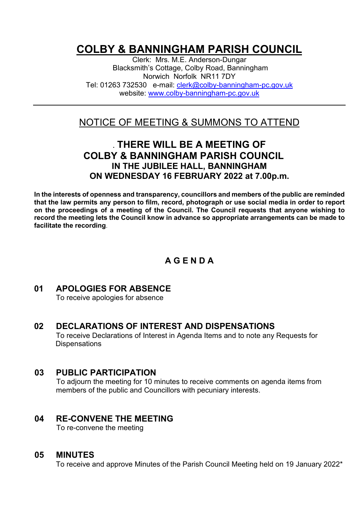# **COLBY & BANNINGHAM PARISH COUNCIL**

Clerk: Mrs. M.E. Anderson-Dungar Blacksmith's Cottage, Colby Road, Banningham Norwich Norfolk NR11 7DY Tel: 01263 732530 e-mail: [clerk@colby-banningham-pc.gov.uk](mailto:clerk@colby-banningham-pc.gov.uk) website: [www.colby-banningham-pc.gov.uk](http://www.colby-banningham-pc.gov.uk/)

# NOTICE OF MEETING & SUMMONS TO ATTEND

# **. THERE WILL BE A MEETING OF COLBY & BANNINGHAM PARISH COUNCIL IN THE JUBILEE HALL, BANNINGHAM ON WEDNESDAY 16 FEBRUARY 2022 at 7.00p.m.**

**In the interests of openness and transparency, councillors and members of the public are reminded that the law permits any person to film, record, photograph or use social media in order to report on the proceedings of a meeting of the Council. The Council requests that anyone wishing to record the meeting lets the Council know in advance so appropriate arrangements can be made to facilitate the recording**.

# **A G E N D A**

# **01 APOLOGIES FOR ABSENCE**

To receive apologies for absence

# **02 DECLARATIONS OF INTEREST AND DISPENSATIONS**

To receive Declarations of Interest in Agenda Items and to note any Requests for **Dispensations** 

#### **03 PUBLIC PARTICIPATION**

To adjourn the meeting for 10 minutes to receive comments on agenda items from members of the public and Councillors with pecuniary interests.

#### **04 RE-CONVENE THE MEETING**

To re-convene the meeting

#### **05 MINUTES**

To receive and approve Minutes of the Parish Council Meeting held on 19 January 2022\*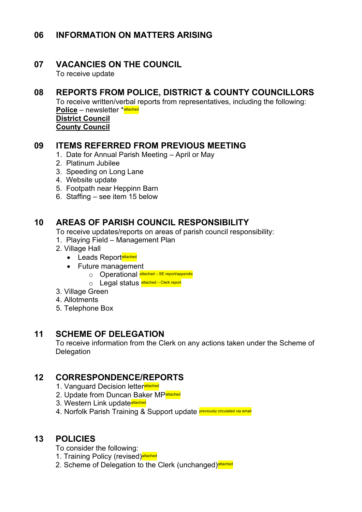## **06 INFORMATION ON MATTERS ARISING**

## **07 VACANCIES ON THE COUNCIL**

To receive update

# **08 REPORTS FROM POLICE, DISTRICT & COUNTY COUNCILLORS**

To receive written/verbal reports from representatives, including the following: **Police** – newsletter \***attached District Council** 

**County Council**

#### **09 ITEMS REFERRED FROM PREVIOUS MEETING**

- 1. Date for Annual Parish Meeting April or May
- 2. Platinum Jubilee
- 3. Speeding on Long Lane
- 4. Website update
- 5. Footpath near Heppinn Barn
- 6. Staffing see item 15 below

### **10 AREAS OF PARISH COUNCIL RESPONSIBILITY**

To receive updates/reports on areas of parish council responsibility:

- 1. Playing Field Management Plan
- 2. Village Hall
	- Leads Reportattached
	- Future management
		- o Operational attached SE report/appendix
		- O Legal status **attached** Clerk report
- 3. Village Green
- 4. Allotments
- 5. Telephone Box

#### **11 SCHEME OF DELEGATION**

To receive information from the Clerk on any actions taken under the Scheme of **Delegation** 

### **12 CORRESPONDENCE/REPORTS**

- 1. Vanguard Decision letterattached
- 2. Update from Duncan Baker MPattached
- 3. Western Link update<sup>attached</sup>
- 4. Norfolk Parish Training & Support update **previously circulated via email**

### **13 POLICIES**

To consider the following:

- 1. Training Policy (revised)<sup>attached</sup>
- 2. Scheme of Delegation to the Clerk (unchanged)<sup>attached</sup>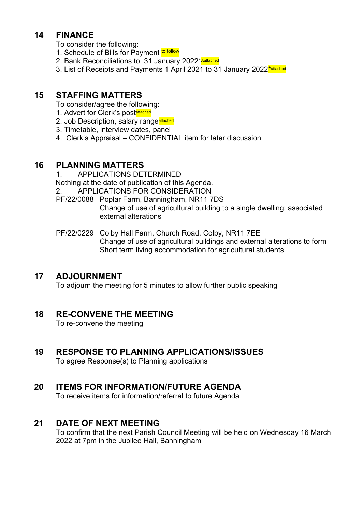## **14 FINANCE**

To consider the following:

- 1. Schedule of Bills for Payment to follow
- 2. Bank Reconciliations to 31 January 2022\* Aattached
- 3. List of Receipts and Payments 1 April 2021 to 31 January 2022<sup>\*</sup>attached

### **15 STAFFING MATTERS**

- To consider/agree the following:
- 1. Advert for Clerk's postattached
- 2. Job Description, salary rangeattached
- 3. Timetable, interview dates, panel
- 4. Clerk's Appraisal CONFIDENTIAL item for later discussion

#### **16 PLANNING MATTERS**

1. APPLICATIONS DETERMINED Nothing at the date of publication of this Agenda. 2. APPLICATIONS FOR CONSIDERATION

PF/22/0088 Poplar Farm, Banningham, NR11 7DS Change of use of agricultural building to a single dwelling; associated external alterations

PF/22/0229 Colby Hall Farm, Church Road, Colby, NR11 7EE Change of use of agricultural buildings and external alterations to form Short term living accommodation for agricultural students

### **17 ADJOURNMENT**

To adjourn the meeting for 5 minutes to allow further public speaking

# **18 RE-CONVENE THE MEETING**

To re-convene the meeting

# **19 RESPONSE TO PLANNING APPLICATIONS/ISSUES**

To agree Response(s) to Planning applications

# **20 ITEMS FOR INFORMATION/FUTURE AGENDA**

To receive items for information/referral to future Agenda

### **21 DATE OF NEXT MEETING**

To confirm that the next Parish Council Meeting will be held on Wednesday 16 March 2022 at 7pm in the Jubilee Hall, Banningham